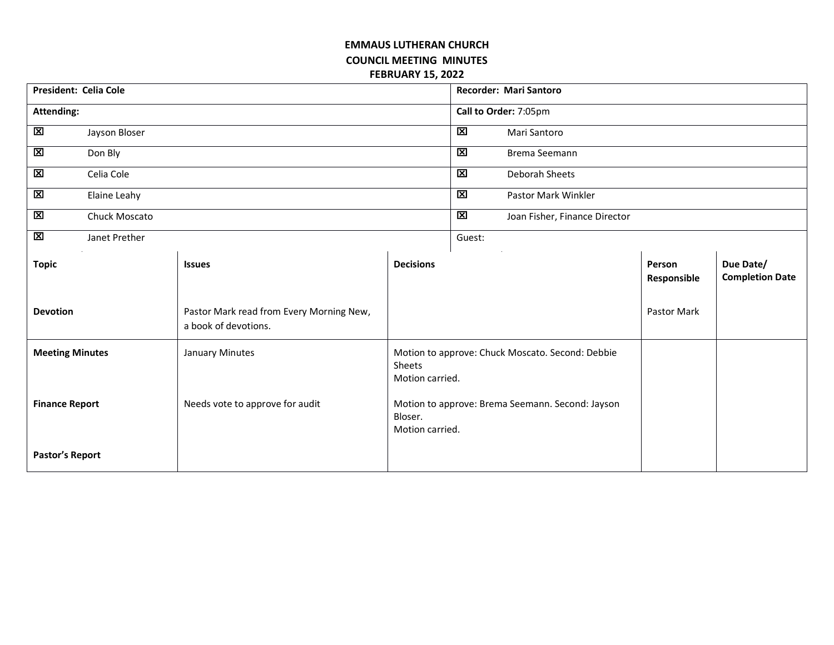## **EMMAUS LUTHERAN CHURCH COUNCIL MEETING MINUTES FEBRUARY 15, 2022**

| <b>President: Celia Cole</b> |               |                                                                  |                                                                                | <b>Recorder: Mari Santoro</b> |                               |                       |                                     |  |
|------------------------------|---------------|------------------------------------------------------------------|--------------------------------------------------------------------------------|-------------------------------|-------------------------------|-----------------------|-------------------------------------|--|
| <b>Attending:</b>            |               |                                                                  |                                                                                | Call to Order: 7:05pm         |                               |                       |                                     |  |
| 図                            | Jayson Bloser |                                                                  |                                                                                | $\mathbf{\Sigma}$             | Mari Santoro                  |                       |                                     |  |
| $\overline{\mathbf{z}}$      | Don Bly       |                                                                  |                                                                                | $\overline{\mathbf{z}}$       | Brema Seemann                 |                       |                                     |  |
| 区                            | Celia Cole    |                                                                  |                                                                                | 図                             | Deborah Sheets                |                       |                                     |  |
| $\boxtimes$                  | Elaine Leahy  |                                                                  |                                                                                | 図                             | Pastor Mark Winkler           |                       |                                     |  |
| $\boxtimes$                  | Chuck Moscato |                                                                  |                                                                                | $\boxtimes$                   | Joan Fisher, Finance Director |                       |                                     |  |
| $\mathbf{x}$                 | Janet Prether |                                                                  |                                                                                | Guest:                        |                               |                       |                                     |  |
| <b>Topic</b>                 |               | <b>Issues</b>                                                    | <b>Decisions</b>                                                               |                               |                               | Person<br>Responsible | Due Date/<br><b>Completion Date</b> |  |
| <b>Devotion</b>              |               | Pastor Mark read from Every Morning New,<br>a book of devotions. |                                                                                |                               |                               | Pastor Mark           |                                     |  |
| <b>Meeting Minutes</b>       |               | January Minutes                                                  | Motion to approve: Chuck Moscato. Second: Debbie<br>Sheets<br>Motion carried.  |                               |                               |                       |                                     |  |
| <b>Finance Report</b>        |               | Needs vote to approve for audit                                  | Motion to approve: Brema Seemann. Second: Jayson<br>Bloser.<br>Motion carried. |                               |                               |                       |                                     |  |
| Pastor's Report              |               |                                                                  |                                                                                |                               |                               |                       |                                     |  |